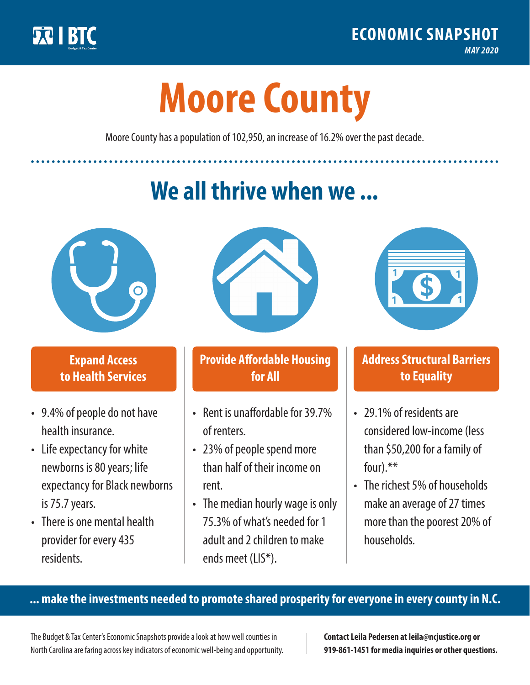

**1**

# **Moore County**

Moore County has a population of 102,950, an increase of 16.2% over the past decade.

# **We all thrive when we ...**



**\$ <sup>1</sup>**

**\$ <sup>1</sup>**

## **Expand Access to Health Services**

- 9.4% of people do not have health insurance.
- Life expectancy for white newborns is 80years; life expectancy for Black newborns is 75.7 years.
- There is one mental health provider for every 435 residents.



## **Provide Affordable Housing for All**

- Rent is unaffordable for 39.7% of renters.
- 23% of people spend more than half of their income on rent.
- The median hourly wage is only 75.3% of what's needed for 1 adult and 2 children to make ends meet (LIS\*).



## **Address Structural Barriers to Equality**

- 29.1% of residents are considered low-income (less than \$50,200 for a family of four).\*\*
- The richest 5% of households make an average of 27 times more than the poorest 20% of households.

#### **... make the investments needed to promote shared prosperity for everyone in every county in N.C.**

The Budget & Tax Center's Economic Snapshots provide a look at how well counties in North Carolina are faring across key indicators of economic well-being and opportunity.